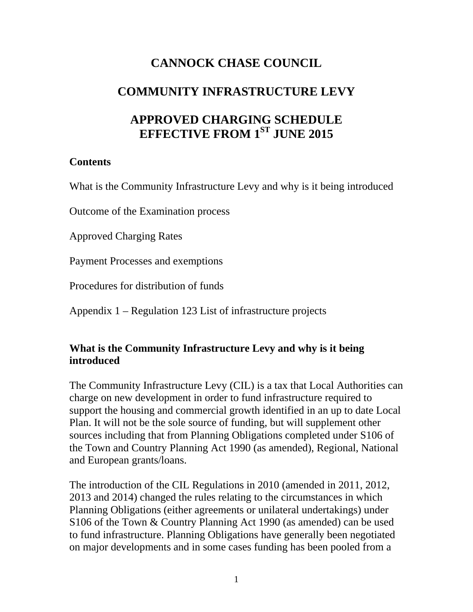# **CANNOCK CHASE COUNCIL**

# **COMMUNITY INFRASTRUCTURE LEVY**

# **APPROVED CHARGING SCHEDULE EFFECTIVE FROM 1ST JUNE 2015**

### **Contents**

What is the Community Infrastructure Levy and why is it being introduced

Outcome of the Examination process

Approved Charging Rates

Payment Processes and exemptions

Procedures for distribution of funds

Appendix 1 – Regulation 123 List of infrastructure projects

# **What is the Community Infrastructure Levy and why is it being introduced**

The Community Infrastructure Levy (CIL) is a tax that Local Authorities can charge on new development in order to fund infrastructure required to support the housing and commercial growth identified in an up to date Local Plan. It will not be the sole source of funding, but will supplement other sources including that from Planning Obligations completed under S106 of the Town and Country Planning Act 1990 (as amended), Regional, National and European grants/loans.

The introduction of the CIL Regulations in 2010 (amended in 2011, 2012, 2013 and 2014) changed the rules relating to the circumstances in which Planning Obligations (either agreements or unilateral undertakings) under S106 of the Town & Country Planning Act 1990 (as amended) can be used to fund infrastructure. Planning Obligations have generally been negotiated on major developments and in some cases funding has been pooled from a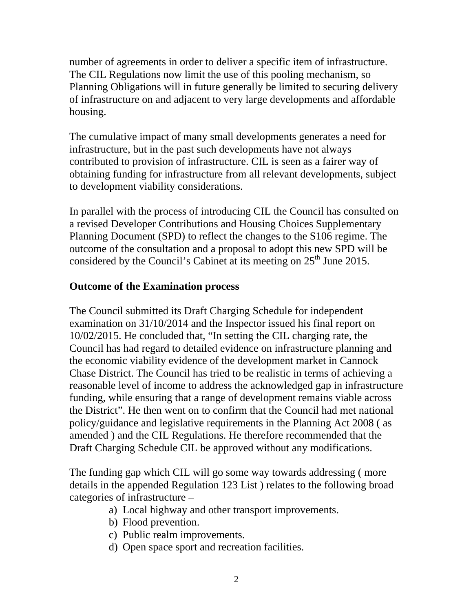number of agreements in order to deliver a specific item of infrastructure. The CIL Regulations now limit the use of this pooling mechanism, so Planning Obligations will in future generally be limited to securing delivery of infrastructure on and adjacent to very large developments and affordable housing.

The cumulative impact of many small developments generates a need for infrastructure, but in the past such developments have not always contributed to provision of infrastructure. CIL is seen as a fairer way of obtaining funding for infrastructure from all relevant developments, subject to development viability considerations.

In parallel with the process of introducing CIL the Council has consulted on a revised Developer Contributions and Housing Choices Supplementary Planning Document (SPD) to reflect the changes to the S106 regime. The outcome of the consultation and a proposal to adopt this new SPD will be considered by the Council's Cabinet at its meeting on  $25<sup>th</sup>$  June 2015.

### **Outcome of the Examination process**

The Council submitted its Draft Charging Schedule for independent examination on 31/10/2014 and the Inspector issued his final report on 10/02/2015. He concluded that, "In setting the CIL charging rate, the Council has had regard to detailed evidence on infrastructure planning and the economic viability evidence of the development market in Cannock Chase District. The Council has tried to be realistic in terms of achieving a reasonable level of income to address the acknowledged gap in infrastructure funding, while ensuring that a range of development remains viable across the District". He then went on to confirm that the Council had met national policy/guidance and legislative requirements in the Planning Act 2008 ( as amended ) and the CIL Regulations. He therefore recommended that the Draft Charging Schedule CIL be approved without any modifications.

The funding gap which CIL will go some way towards addressing ( more details in the appended Regulation 123 List ) relates to the following broad categories of infrastructure –

- a) Local highway and other transport improvements.
- b) Flood prevention.
- c) Public realm improvements.
- d) Open space sport and recreation facilities.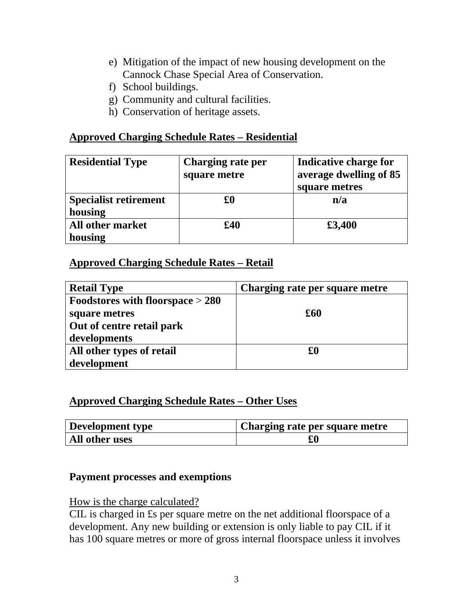- e) Mitigation of the impact of new housing development on the Cannock Chase Special Area of Conservation.
- f) School buildings.
- g) Community and cultural facilities.
- h) Conservation of heritage assets.

### **Approved Charging Schedule Rates – Residential**

| <b>Residential Type</b>      | Charging rate per<br>square metre | Indicative charge for<br>average dwelling of 85<br>square metres |
|------------------------------|-----------------------------------|------------------------------------------------------------------|
| <b>Specialist retirement</b> | £0                                | n/a                                                              |
| housing                      |                                   |                                                                  |
| <b>All other market</b>      | £40                               | £3,400                                                           |
| housing                      |                                   |                                                                  |

# **Approved Charging Schedule Rates – Retail**

| <b>Retail Type</b>                 | Charging rate per square metre |
|------------------------------------|--------------------------------|
| Foodstores with floorspace $> 280$ |                                |
| square metres                      | £60                            |
| Out of centre retail park          |                                |
| developments                       |                                |
| All other types of retail          | £0                             |
| development                        |                                |

# **Approved Charging Schedule Rates – Other Uses**

| Development type | Charging rate per square metre |
|------------------|--------------------------------|
| All other uses   | $\pmb{\pounds} 0$              |

### **Payment processes and exemptions**

#### How is the charge calculated?

CIL is charged in £s per square metre on the net additional floorspace of a development. Any new building or extension is only liable to pay CIL if it has 100 square metres or more of gross internal floorspace unless it involves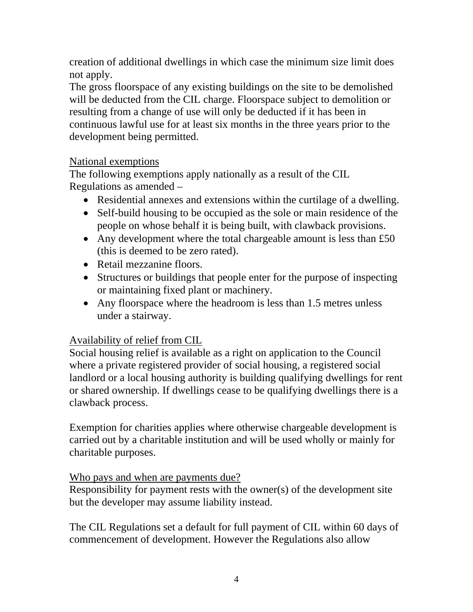creation of additional dwellings in which case the minimum size limit does not apply.

The gross floorspace of any existing buildings on the site to be demolished will be deducted from the CIL charge. Floorspace subject to demolition or resulting from a change of use will only be deducted if it has been in continuous lawful use for at least six months in the three years prior to the development being permitted.

# National exemptions

The following exemptions apply nationally as a result of the CIL Regulations as amended –

- Residential annexes and extensions within the curtilage of a dwelling.
- Self-build housing to be occupied as the sole or main residence of the people on whose behalf it is being built, with clawback provisions.
- Any development where the total chargeable amount is less than  $£50$ (this is deemed to be zero rated).
- Retail mezzanine floors.
- Structures or buildings that people enter for the purpose of inspecting or maintaining fixed plant or machinery.
- Any floorspace where the headroom is less than 1.5 metres unless under a stairway.

# Availability of relief from CIL

Social housing relief is available as a right on application to the Council where a private registered provider of social housing, a registered social landlord or a local housing authority is building qualifying dwellings for rent or shared ownership. If dwellings cease to be qualifying dwellings there is a clawback process.

Exemption for charities applies where otherwise chargeable development is carried out by a charitable institution and will be used wholly or mainly for charitable purposes.

# Who pays and when are payments due?

Responsibility for payment rests with the owner(s) of the development site but the developer may assume liability instead.

The CIL Regulations set a default for full payment of CIL within 60 days of commencement of development. However the Regulations also allow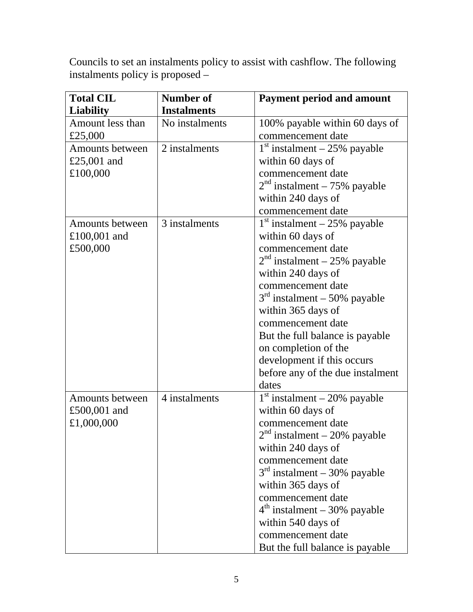Councils to set an instalments policy to assist with cashflow. The following instalments policy is proposed –

| <b>Total CIL</b> | <b>Number of</b>   | <b>Payment period and amount</b> |
|------------------|--------------------|----------------------------------|
| <b>Liability</b> | <b>Instalments</b> |                                  |
| Amount less than | No instalments     | 100% payable within 60 days of   |
| £25,000          |                    | commencement date                |
| Amounts between  | 2 instalments      | $1st$ instalment – 25% payable   |
| £25,001 and      |                    | within 60 days of                |
| £100,000         |                    | commencement date                |
|                  |                    | $2nd$ instalment – 75% payable   |
|                  |                    | within 240 days of               |
|                  |                    | commencement date                |
| Amounts between  | 3 instalments      | $1st$ instalment – 25% payable   |
| $£100,001$ and   |                    | within 60 days of                |
| £500,000         |                    | commencement date                |
|                  |                    | $2nd$ instalment – 25% payable   |
|                  |                    | within 240 days of               |
|                  |                    | commencement date                |
|                  |                    | $3rd$ instalment – 50% payable   |
|                  |                    | within 365 days of               |
|                  |                    | commencement date                |
|                  |                    | But the full balance is payable  |
|                  |                    | on completion of the             |
|                  |                    | development if this occurs       |
|                  |                    | before any of the due instalment |
|                  |                    | dates                            |
| Amounts between  | 4 instalments      | $1st$ instalment – 20% payable   |
| £500,001 and     |                    | within 60 days of                |
| £1,000,000       |                    | commencement date                |
|                  |                    | $2nd$ instalment – 20% payable   |
|                  |                    | within 240 days of               |
|                  |                    | commencement date                |
|                  |                    | $3rd$ instalment – 30% payable   |
|                  |                    | within 365 days of               |
|                  |                    | commencement date                |
|                  |                    | $4th$ instalment – 30% payable   |
|                  |                    | within 540 days of               |
|                  |                    | commencement date                |
|                  |                    | But the full balance is payable  |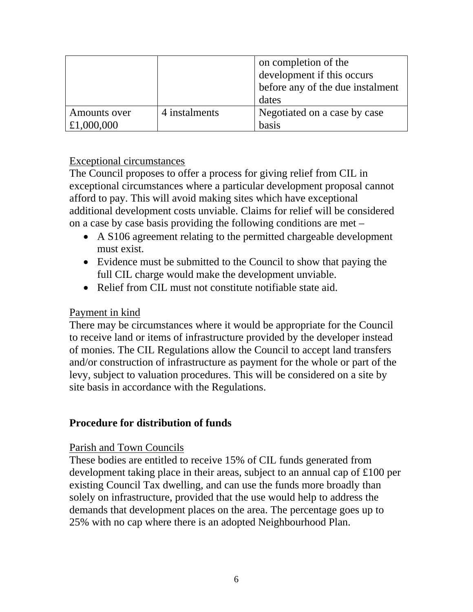|                            |               | on completion of the<br>development if this occurs |
|----------------------------|---------------|----------------------------------------------------|
|                            |               | before any of the due instalment<br>dates          |
| Amounts over<br>£1,000,000 | 4 instalments | Negotiated on a case by case<br>basis              |

### Exceptional circumstances

The Council proposes to offer a process for giving relief from CIL in exceptional circumstances where a particular development proposal cannot afford to pay. This will avoid making sites which have exceptional additional development costs unviable. Claims for relief will be considered on a case by case basis providing the following conditions are met –

- A S106 agreement relating to the permitted chargeable development must exist.
- Evidence must be submitted to the Council to show that paying the full CIL charge would make the development unviable.
- Relief from CIL must not constitute notifiable state aid.

### Payment in kind

There may be circumstances where it would be appropriate for the Council to receive land or items of infrastructure provided by the developer instead of monies. The CIL Regulations allow the Council to accept land transfers and/or construction of infrastructure as payment for the whole or part of the levy, subject to valuation procedures. This will be considered on a site by site basis in accordance with the Regulations.

# **Procedure for distribution of funds**

### Parish and Town Councils

These bodies are entitled to receive 15% of CIL funds generated from development taking place in their areas, subject to an annual cap of £100 per existing Council Tax dwelling, and can use the funds more broadly than solely on infrastructure, provided that the use would help to address the demands that development places on the area. The percentage goes up to 25% with no cap where there is an adopted Neighbourhood Plan.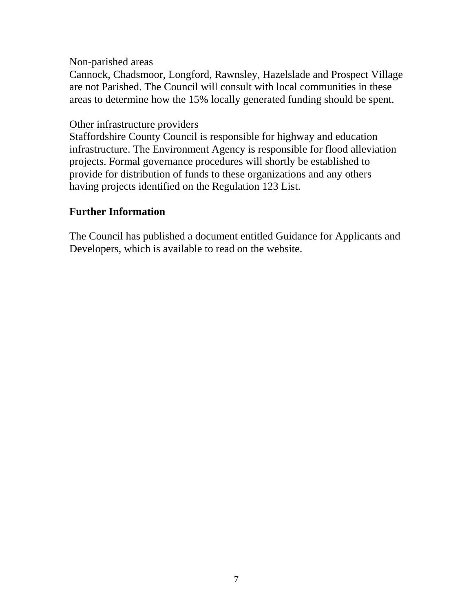#### Non-parished areas

Cannock, Chadsmoor, Longford, Rawnsley, Hazelslade and Prospect Village are not Parished. The Council will consult with local communities in these areas to determine how the 15% locally generated funding should be spent.

#### Other infrastructure providers

Staffordshire County Council is responsible for highway and education infrastructure. The Environment Agency is responsible for flood alleviation projects. Formal governance procedures will shortly be established to provide for distribution of funds to these organizations and any others having projects identified on the Regulation 123 List.

# **Further Information**

The Council has published a document entitled Guidance for Applicants and Developers, which is available to read on the website.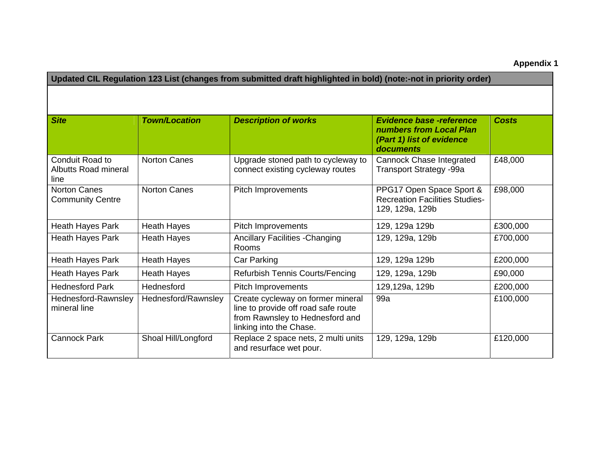**Appendix 1** 

| Updated CIL Regulation 123 List (changes from submitted draft highlighted in bold) (note:-not in priority order) |                      |                                                                                                                                        |                                                                                                      |              |
|------------------------------------------------------------------------------------------------------------------|----------------------|----------------------------------------------------------------------------------------------------------------------------------------|------------------------------------------------------------------------------------------------------|--------------|
|                                                                                                                  |                      |                                                                                                                                        |                                                                                                      |              |
| <b>Site</b>                                                                                                      | <b>Town/Location</b> | <b>Description of works</b>                                                                                                            | <b>Evidence base -reference</b><br>numbers from Local Plan<br>(Part 1) list of evidence<br>documents | <b>Costs</b> |
| Conduit Road to<br><b>Albutts Road mineral</b><br>line                                                           | <b>Norton Canes</b>  | Upgrade stoned path to cycleway to<br>connect existing cycleway routes                                                                 | <b>Cannock Chase Integrated</b><br><b>Transport Strategy -99a</b>                                    | £48,000      |
| <b>Norton Canes</b><br><b>Community Centre</b>                                                                   | <b>Norton Canes</b>  | Pitch Improvements                                                                                                                     | PPG17 Open Space Sport &<br><b>Recreation Facilities Studies-</b><br>129, 129a, 129b                 | £98,000      |
| Heath Hayes Park                                                                                                 | <b>Heath Hayes</b>   | Pitch Improvements                                                                                                                     | 129, 129a 129b                                                                                       | £300,000     |
| <b>Heath Hayes Park</b>                                                                                          | <b>Heath Hayes</b>   | <b>Ancillary Facilities - Changing</b><br>Rooms                                                                                        | 129, 129a, 129b                                                                                      | £700,000     |
| <b>Heath Hayes Park</b>                                                                                          | <b>Heath Hayes</b>   | Car Parking                                                                                                                            | 129, 129a 129b                                                                                       | £200,000     |
| Heath Hayes Park                                                                                                 | <b>Heath Hayes</b>   | Refurbish Tennis Courts/Fencing                                                                                                        | 129, 129a, 129b                                                                                      | £90,000      |
| <b>Hednesford Park</b>                                                                                           | Hednesford           | Pitch Improvements                                                                                                                     | 129,129a, 129b                                                                                       | £200,000     |
| Hednesford-Rawnsley<br>mineral line                                                                              | Hednesford/Rawnsley  | Create cycleway on former mineral<br>line to provide off road safe route<br>from Rawnsley to Hednesford and<br>linking into the Chase. | 99a                                                                                                  | £100,000     |
| <b>Cannock Park</b>                                                                                              | Shoal Hill/Longford  | Replace 2 space nets, 2 multi units<br>and resurface wet pour.                                                                         | 129, 129a, 129b                                                                                      | £120,000     |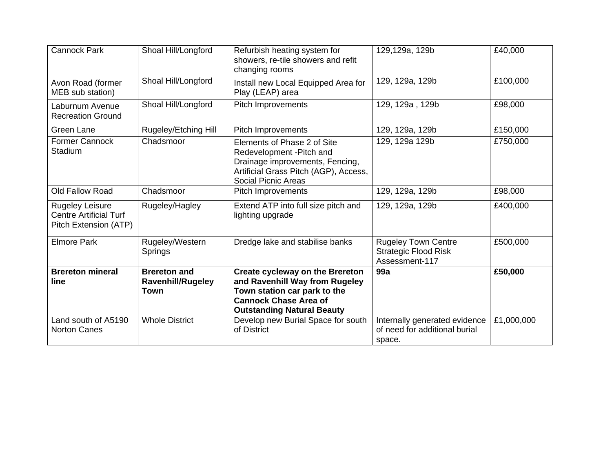| <b>Cannock Park</b>                                                              | Shoal Hill/Longford                                     | Refurbish heating system for<br>showers, re-tile showers and refit<br>changing rooms                                                                                          | 129,129a, 129b                                                              | £40,000    |
|----------------------------------------------------------------------------------|---------------------------------------------------------|-------------------------------------------------------------------------------------------------------------------------------------------------------------------------------|-----------------------------------------------------------------------------|------------|
| Avon Road (former<br>MEB sub station)                                            | Shoal Hill/Longford                                     | Install new Local Equipped Area for<br>Play (LEAP) area                                                                                                                       | 129, 129a, 129b                                                             | £100,000   |
| Laburnum Avenue<br><b>Recreation Ground</b>                                      | Shoal Hill/Longford                                     | <b>Pitch Improvements</b>                                                                                                                                                     | 129, 129a, 129b                                                             | £98,000    |
| Green Lane                                                                       | Rugeley/Etching Hill                                    | Pitch Improvements                                                                                                                                                            | 129, 129a, 129b                                                             | £150,000   |
| <b>Former Cannock</b><br>Stadium                                                 | Chadsmoor                                               | Elements of Phase 2 of Site<br>Redevelopment - Pitch and<br>Drainage improvements, Fencing,<br>Artificial Grass Pitch (AGP), Access,<br><b>Social Picnic Areas</b>            | 129, 129a 129b                                                              | £750,000   |
| Old Fallow Road                                                                  | Chadsmoor                                               | Pitch Improvements                                                                                                                                                            | 129, 129a, 129b                                                             | £98,000    |
| <b>Rugeley Leisure</b><br><b>Centre Artificial Turf</b><br>Pitch Extension (ATP) | Rugeley/Hagley                                          | Extend ATP into full size pitch and<br>lighting upgrade                                                                                                                       | 129, 129a, 129b                                                             | £400,000   |
| <b>Elmore Park</b>                                                               | Rugeley/Western<br>Springs                              | Dredge lake and stabilise banks                                                                                                                                               | <b>Rugeley Town Centre</b><br><b>Strategic Flood Risk</b><br>Assessment-117 | £500,000   |
| <b>Brereton mineral</b><br>line                                                  | <b>Brereton and</b><br><b>Ravenhill/Rugeley</b><br>Town | <b>Create cycleway on the Brereton</b><br>and Ravenhill Way from Rugeley<br>Town station car park to the<br><b>Cannock Chase Area of</b><br><b>Outstanding Natural Beauty</b> | 99a                                                                         | £50,000    |
| Land south of A5190<br><b>Norton Canes</b>                                       | <b>Whole District</b>                                   | Develop new Burial Space for south<br>of District                                                                                                                             | Internally generated evidence<br>of need for additional burial<br>space.    | £1,000,000 |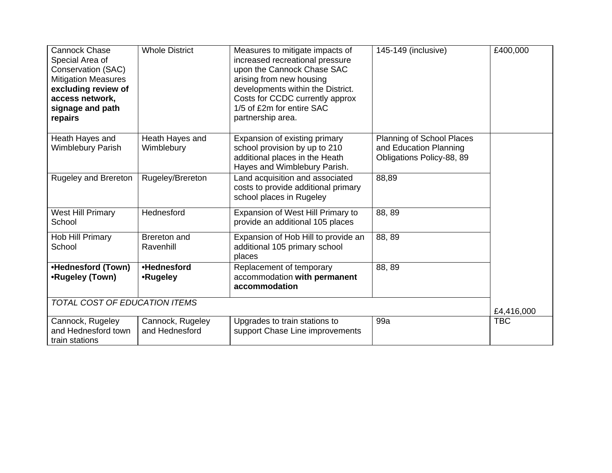| <b>Cannock Chase</b><br>Special Area of<br>Conservation (SAC)<br><b>Mitigation Measures</b><br>excluding review of<br>access network,<br>signage and path<br>repairs | <b>Whole District</b>              | Measures to mitigate impacts of<br>increased recreational pressure<br>upon the Cannock Chase SAC<br>arising from new housing<br>developments within the District.<br>Costs for CCDC currently approx<br>1/5 of £2m for entire SAC<br>partnership area. | 145-149 (inclusive)                                                              | £400,000   |
|----------------------------------------------------------------------------------------------------------------------------------------------------------------------|------------------------------------|--------------------------------------------------------------------------------------------------------------------------------------------------------------------------------------------------------------------------------------------------------|----------------------------------------------------------------------------------|------------|
| Heath Hayes and<br><b>Wimblebury Parish</b>                                                                                                                          | Heath Hayes and<br>Wimblebury      | Expansion of existing primary<br>school provision by up to 210<br>additional places in the Heath<br>Hayes and Wimblebury Parish.                                                                                                                       | Planning of School Places<br>and Education Planning<br>Obligations Policy-88, 89 |            |
| Rugeley and Brereton                                                                                                                                                 | Rugeley/Brereton                   | Land acquisition and associated<br>costs to provide additional primary<br>school places in Rugeley                                                                                                                                                     | 88,89                                                                            |            |
| <b>West Hill Primary</b><br>School                                                                                                                                   | Hednesford                         | Expansion of West Hill Primary to<br>provide an additional 105 places                                                                                                                                                                                  | 88, 89                                                                           |            |
| Hob Hill Primary<br>School                                                                                                                                           | <b>Brereton</b> and<br>Ravenhill   | Expansion of Hob Hill to provide an<br>additional 105 primary school<br>places                                                                                                                                                                         | 88, 89                                                                           |            |
| •Hednesford (Town)<br>•Rugeley (Town)                                                                                                                                | •Hednesford<br>•Rugeley            | Replacement of temporary<br>accommodation with permanent<br>accommodation                                                                                                                                                                              | 88, 89                                                                           |            |
| <b>TOTAL COST OF EDUCATION ITEMS</b>                                                                                                                                 |                                    |                                                                                                                                                                                                                                                        |                                                                                  | £4,416,000 |
| Cannock, Rugeley<br>and Hednesford town<br>train stations                                                                                                            | Cannock, Rugeley<br>and Hednesford | Upgrades to train stations to<br>support Chase Line improvements                                                                                                                                                                                       | 99a                                                                              | <b>TBC</b> |